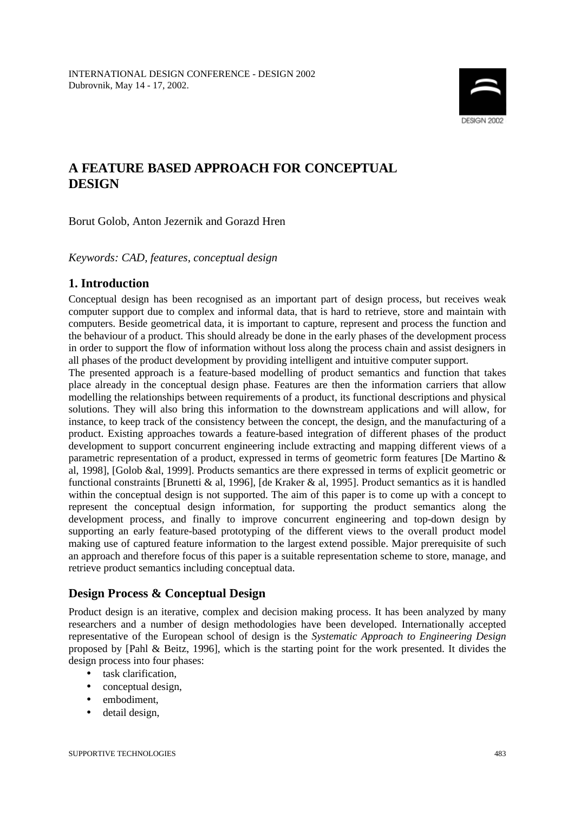

# **A FEATURE BASED APPROACH FOR CONCEPTUAL DESIGN**

Borut Golob, Anton Jezernik and Gorazd Hren

*Keywords: CAD, features, conceptual design*

# **1. Introduction**

Conceptual design has been recognised as an important part of design process, but receives weak computer support due to complex and informal data, that is hard to retrieve, store and maintain with computers. Beside geometrical data, it is important to capture, represent and process the function and the behaviour of a product. This should already be done in the early phases of the development process in order to support the flow of information without loss along the process chain and assist designers in all phases of the product development by providing intelligent and intuitive computer support.

The presented approach is a feature-based modelling of product semantics and function that takes place already in the conceptual design phase. Features are then the information carriers that allow modelling the relationships between requirements of a product, its functional descriptions and physical solutions. They will also bring this information to the downstream applications and will allow, for instance, to keep track of the consistency between the concept, the design, and the manufacturing of a product. Existing approaches towards a feature-based integration of different phases of the product development to support concurrent engineering include extracting and mapping different views of a parametric representation of a product, expressed in terms of geometric form features [De Martino & al, 1998], [Golob &al, 1999]. Products semantics are there expressed in terms of explicit geometric or functional constraints [Brunetti & al, 1996], [de Kraker & al, 1995]. Product semantics as it is handled within the conceptual design is not supported. The aim of this paper is to come up with a concept to represent the conceptual design information, for supporting the product semantics along the development process, and finally to improve concurrent engineering and top-down design by supporting an early feature-based prototyping of the different views to the overall product model making use of captured feature information to the largest extend possible. Major prerequisite of such an approach and therefore focus of this paper is a suitable representation scheme to store, manage, and retrieve product semantics including conceptual data.

# **Design Process & Conceptual Design**

Product design is an iterative, complex and decision making process. It has been analyzed by many researchers and a number of design methodologies have been developed. Internationally accepted representative of the European school of design is the *Systematic Approach to Engineering Design* proposed by [Pahl & Beitz, 1996], which is the starting point for the work presented. It divides the design process into four phases:

- task clarification,
- conceptual design,
- embodiment,
- detail design,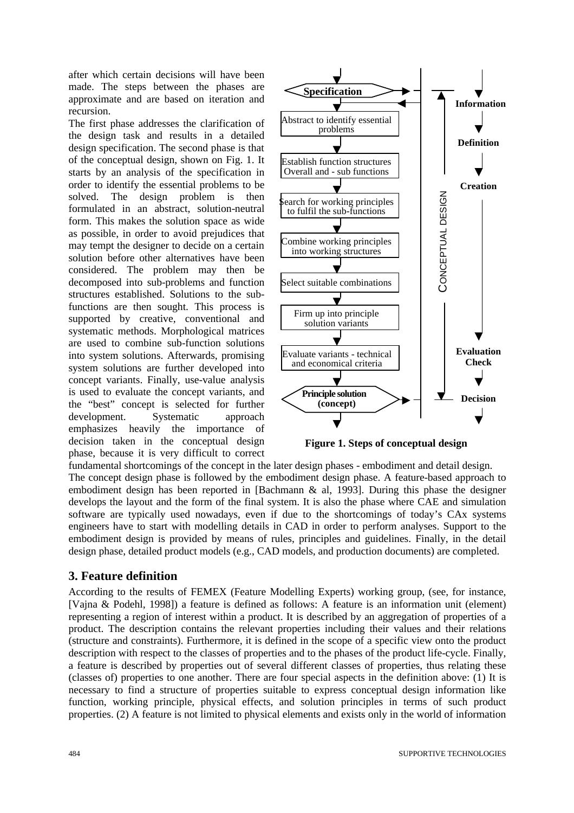after which certain decisions will have been made. The steps between the phases are approximate and are based on iteration and recursion.

The first phase addresses the clarification of the design task and results in a detailed design specification. The second phase is that of the conceptual design, shown on Fig. 1. It starts by an analysis of the specification in order to identify the essential problems to be solved. The design problem is then formulated in an abstract, solution-neutral form. This makes the solution space as wide as possible, in order to avoid prejudices that may tempt the designer to decide on a certain solution before other alternatives have been considered. The problem may then be decomposed into sub-problems and function structures established. Solutions to the subfunctions are then sought. This process is supported by creative, conventional and systematic methods. Morphological matrices are used to combine sub-function solutions into system solutions. Afterwards, promising system solutions are further developed into concept variants. Finally, use-value analysis is used to evaluate the concept variants, and the "best" concept is selected for further development. Systematic approach emphasizes heavily the importance of decision taken in the conceptual design phase, because it is very difficult to correct



**Figure 1. Steps of conceptual design** 

fundamental shortcomings of the concept in the later design phases - embodiment and detail design. The concept design phase is followed by the embodiment design phase. A feature-based approach to embodiment design has been reported in [Bachmann & al, 1993]. During this phase the designer develops the layout and the form of the final system. It is also the phase where CAE and simulation software are typically used nowadays, even if due to the shortcomings of today's CAx systems engineers have to start with modelling details in CAD in order to perform analyses. Support to the embodiment design is provided by means of rules, principles and guidelines. Finally, in the detail design phase, detailed product models (e.g., CAD models, and production documents) are completed.

# **3. Feature definition**

According to the results of FEMEX (Feature Modelling Experts) working group, (see, for instance, [Vajna & Podehl, 1998]) a feature is defined as follows: A feature is an information unit (element) representing a region of interest within a product. It is described by an aggregation of properties of a product. The description contains the relevant properties including their values and their relations (structure and constraints). Furthermore, it is defined in the scope of a specific view onto the product description with respect to the classes of properties and to the phases of the product life-cycle. Finally, a feature is described by properties out of several different classes of properties, thus relating these (classes of) properties to one another. There are four special aspects in the definition above: (1) It is necessary to find a structure of properties suitable to express conceptual design information like function, working principle, physical effects, and solution principles in terms of such product properties. (2) A feature is not limited to physical elements and exists only in the world of information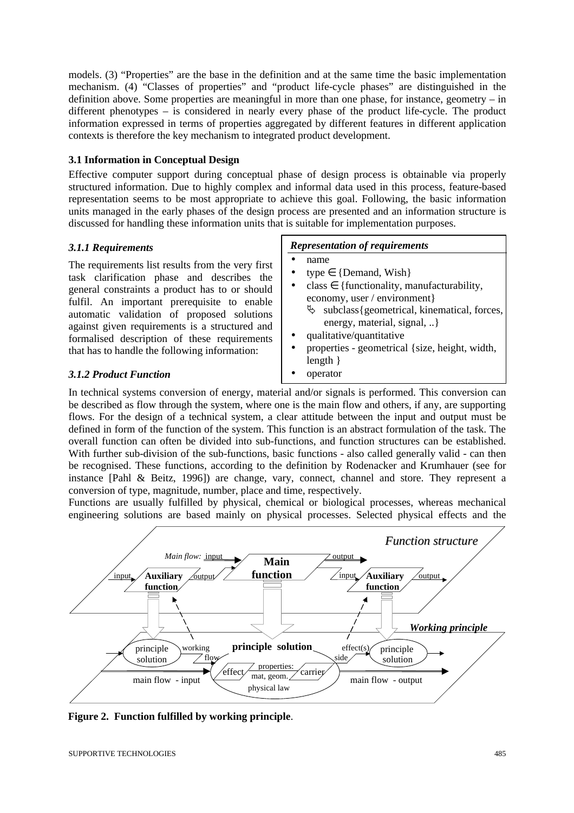models. (3) "Properties" are the base in the definition and at the same time the basic implementation mechanism. (4) "Classes of properties" and "product life-cycle phases" are distinguished in the definition above. Some properties are meaningful in more than one phase, for instance, geometry – in different phenotypes – is considered in nearly every phase of the product life-cycle. The product information expressed in terms of properties aggregated by different features in different application contexts is therefore the key mechanism to integrated product development.

## **3.1 Information in Conceptual Design**

Effective computer support during conceptual phase of design process is obtainable via properly structured information. Due to highly complex and informal data used in this process, feature-based representation seems to be most appropriate to achieve this goal. Following, the basic information units managed in the early phases of the design process are presented and an information structure is discussed for handling these information units that is suitable for implementation purposes.

## *3.1.1 Requirements*

The requirements list results from the very first task clarification phase and describes the general constraints a product has to or should fulfil. An important prerequisite to enable automatic validation of proposed solutions against given requirements is a structured and formalised description of these requirements that has to handle the following information:

#### *Representation of requirements*

- name
- type  $\in \{$ Demand, Wish $\}$
- class  $\in$  {functionality, manufacturability, economy, user / environment}  $\&$  subclass{geometrical, kinematical, forces,
	- energy, material, signal, ..}
- qualitative/quantitative
- properties geometrical {size, height, width, length }

*3.1.2 Product Function*

• operator

In technical systems conversion of energy, material and/or signals is performed. This conversion can be described as flow through the system, where one is the main flow and others, if any, are supporting flows. For the design of a technical system, a clear attitude between the input and output must be defined in form of the function of the system. This function is an abstract formulation of the task. The overall function can often be divided into sub-functions, and function structures can be established. With further sub-division of the sub-functions, basic functions - also called generally valid - can then be recognised. These functions, according to the definition by Rodenacker and Krumhauer (see for instance [Pahl & Beitz, 1996]) are change, vary, connect, channel and store. They represent a conversion of type, magnitude, number, place and time, respectively.

Functions are usually fulfilled by physical, chemical or biological processes, whereas mechanical engineering solutions are based mainly on physical processes. Selected physical effects and the



**Figure 2. Function fulfilled by working principle**.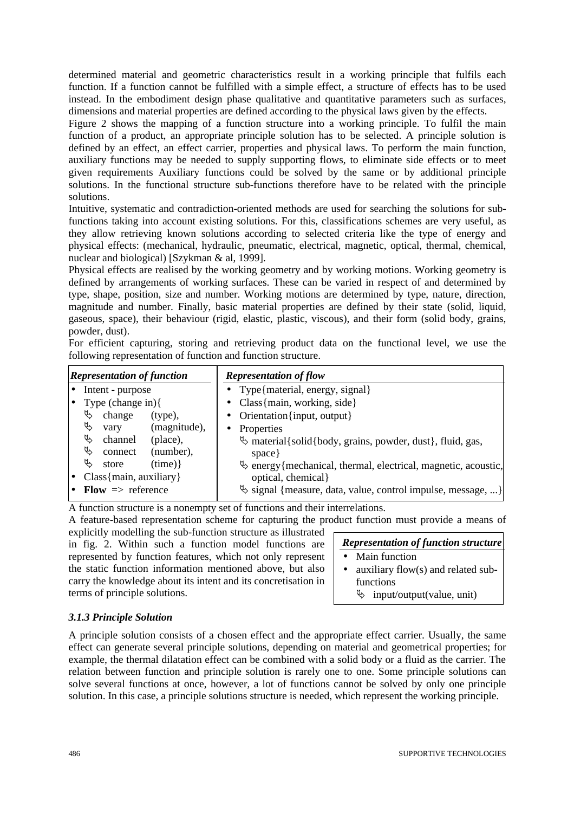determined material and geometric characteristics result in a working principle that fulfils each function. If a function cannot be fulfilled with a simple effect, a structure of effects has to be used instead. In the embodiment design phase qualitative and quantitative parameters such as surfaces, dimensions and material properties are defined according to the physical laws given by the effects.

Figure 2 shows the mapping of a function structure into a working principle. To fulfil the main function of a product, an appropriate principle solution has to be selected. A principle solution is defined by an effect, an effect carrier, properties and physical laws. To perform the main function, auxiliary functions may be needed to supply supporting flows, to eliminate side effects or to meet given requirements Auxiliary functions could be solved by the same or by additional principle solutions. In the functional structure sub-functions therefore have to be related with the principle solutions.

Intuitive, systematic and contradiction-oriented methods are used for searching the solutions for subfunctions taking into account existing solutions. For this, classifications schemes are very useful, as they allow retrieving known solutions according to selected criteria like the type of energy and physical effects: (mechanical, hydraulic, pneumatic, electrical, magnetic, optical, thermal, chemical, nuclear and biological) [Szykman & al, 1999].

Physical effects are realised by the working geometry and by working motions. Working geometry is defined by arrangements of working surfaces. These can be varied in respect of and determined by type, shape, position, size and number. Working motions are determined by type, nature, direction, magnitude and number. Finally, basic material properties are defined by their state (solid, liquid, gaseous, space), their behaviour (rigid, elastic, plastic, viscous), and their form (solid body, grains, powder, dust).

For efficient capturing, storing and retrieving product data on the functional level, we use the following representation of function and function structure.

| <b>Representation of function</b> |                           | <b>Representation of flow</b>                                              |  |  |  |
|-----------------------------------|---------------------------|----------------------------------------------------------------------------|--|--|--|
| Intent - purpose<br>I۰            |                           | • Type{material, energy, signal}                                           |  |  |  |
|                                   | Type (change in){         | • Class{ $main$ , working, side}                                           |  |  |  |
|                                   | Ъ<br>change<br>(type),    | • Orientation {input, output }                                             |  |  |  |
|                                   | Ъ<br>(magnitude),<br>vary | Properties<br>$\bullet$                                                    |  |  |  |
|                                   | Ъ<br>channel<br>(place),  | important material {solid {body, grains, powder, dust }, fluid, gas,       |  |  |  |
|                                   | ₿<br>(number),<br>connect | space }                                                                    |  |  |  |
|                                   | Ъ<br>(time)<br>store      | $\ddot{\phi}$ energy {mechanical, thermal, electrical, magnetic, acoustic, |  |  |  |
| $Class{main, auxiliary}$          |                           | optical, chemical                                                          |  |  |  |
| Flow $\Rightarrow$ reference      |                           | $\ddot{\varphi}$ signal {measure, data, value, control impulse, message, } |  |  |  |

A function structure is a nonempty set of functions and their interrelations.

A feature-based representation scheme for capturing the product function must provide a means of

explicitly modelling the sub-function structure as illustrated in fig. 2. Within such a function model functions are represented by function features, which not only represent the static function information mentioned above, but also carry the knowledge about its intent and its concretisation in terms of principle solutions.

| <b>Representation of function structure</b> |                                    |  |  |
|---------------------------------------------|------------------------------------|--|--|
| $\bullet$                                   | Main function                      |  |  |
| $\bullet$                                   | auxiliary flow(s) and related sub- |  |  |
|                                             | functions                          |  |  |

 $\uparrow$  input/output(value, unit)

## *3.1.3 Principle Solution*

A principle solution consists of a chosen effect and the appropriate effect carrier. Usually, the same effect can generate several principle solutions, depending on material and geometrical properties; for example, the thermal dilatation effect can be combined with a solid body or a fluid as the carrier. The relation between function and principle solution is rarely one to one. Some principle solutions can solve several functions at once, however, a lot of functions cannot be solved by only one principle solution. In this case, a principle solutions structure is needed, which represent the working principle.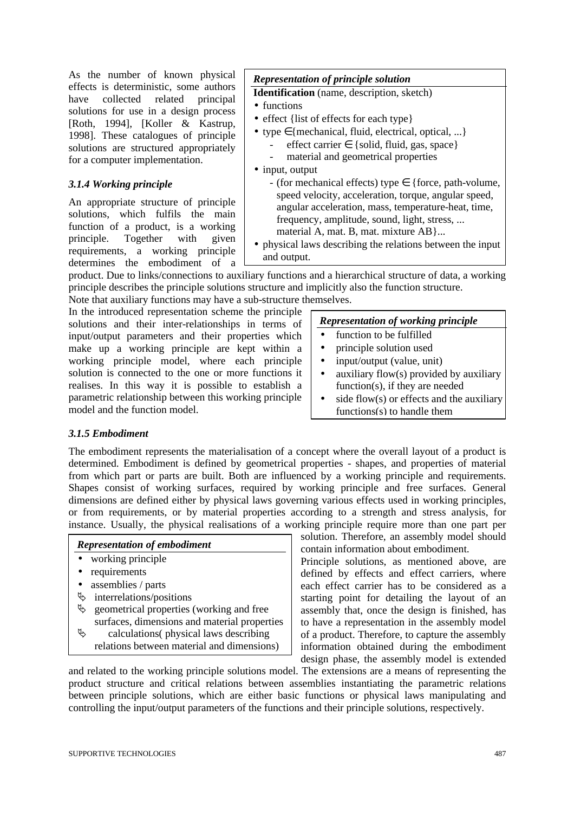As the number of known physical effects is deterministic, some authors have collected related principal solutions for use in a design process [Roth, 1994], [Koller & Kastrup, 1998]. These catalogues of principle solutions are structured appropriately for a computer implementation.

### *3.1.4 Working principle*

An appropriate structure of principle solutions, which fulfils the main function of a product, is a working principle. Together with given requirements, a working principle determines the embodiment of a

# *Representation of principle solution*

**Identification** (name, description, sketch)

- functions
- effect {list of effects for each type}
- type  $\in$  {mechanical, fluid, electrical, optical, ...}
	- $effect carrier \in \{solid, fluid, gas, space\}$ 
		- material and geometrical properties
- input, output
	- (for mechanical effects) type  $\in$  {force, path-volume, speed velocity, acceleration, torque, angular speed, angular acceleration, mass, temperature-heat, time, frequency, amplitude, sound, light, stress, ... material A, mat. B, mat. mixture AB }...
- physical laws describing the relations between the input and output.

product. Due to links/connections to auxiliary functions and a hierarchical structure of data, a working principle describes the principle solutions structure and implicitly also the function structure. Note that auxiliary functions may have a sub-structure themselves.

In the introduced representation scheme the principle solutions and their inter-relationships in terms of input/output parameters and their properties which make up a working principle are kept within a working principle model, where each principle solution is connected to the one or more functions it realises. In this way it is possible to establish a parametric relationship between this working principle model and the function model.

| <b>Representation of working principle</b> |  |  |
|--------------------------------------------|--|--|
|                                            |  |  |

- function to be fulfilled
- principle solution used
- input/output (value, unit)
- auxiliary flow(s) provided by auxiliary function(s), if they are needed
- side flow(s) or effects and the auxiliary functions(s) to handle them

#### *3.1.5 Embodiment*

The embodiment represents the materialisation of a concept where the overall layout of a product is determined. Embodiment is defined by geometrical properties - shapes, and properties of material from which part or parts are built. Both are influenced by a working principle and requirements. Shapes consist of working surfaces, required by working principle and free surfaces. General dimensions are defined either by physical laws governing various effects used in working principles, or from requirements, or by material properties according to a strength and stress analysis, for instance. Usually, the physical realisations of a working principle require more than one part per

| <b>Representation of embodiment</b>            |  |  |  |
|------------------------------------------------|--|--|--|
| working principle                              |  |  |  |
| requirements                                   |  |  |  |
| assemblies / parts                             |  |  |  |
| interrelations/positions<br>Æ,                 |  |  |  |
| ¢,<br>geometrical properties (working and free |  |  |  |
| surfaces, dimensions and material properties   |  |  |  |
| ᡛᡪ<br>calculations (physical laws describing   |  |  |  |
| relations between material and dimensions)     |  |  |  |

solution. Therefore, an assembly model should contain information about embodiment.

Principle solutions, as mentioned above, are defined by effects and effect carriers, where each effect carrier has to be considered as a starting point for detailing the layout of an assembly that, once the design is finished, has to have a representation in the assembly model of a product. Therefore, to capture the assembly information obtained during the embodiment design phase, the assembly model is extended

and related to the working principle solutions model. The extensions are a means of representing the product structure and critical relations between assemblies instantiating the parametric relations between principle solutions, which are either basic functions or physical laws manipulating and controlling the input/output parameters of the functions and their principle solutions, respectively.